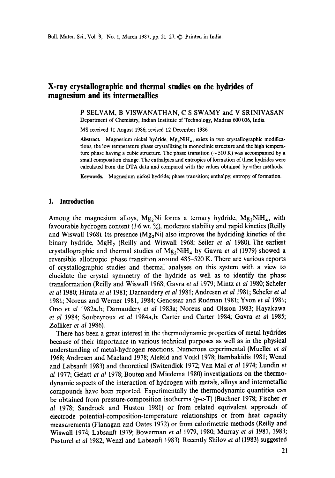## **X-ray crystallographic and thermal studies on the hydrides of magnesium and its intermetallics**

P SELVAM, B VISWANATHAN, C S SWAMY and V SRINIVASAN Department of Chemistry, Indian Institute of Technology, Madras 600 036, India

MS received 11 August 1986; revised 12 December 1986

Abstract. Magnesium nickel hydride, Mg<sub>2</sub>NiH<sub>4</sub>, exists in two crystallographic modifications, the low temperature phase crystallizing in monoclinic structure and the high temperature phase having a cubic structure. The phase transition ( $\sim$  510 K) was accompanied by a small composition change. The enthalpies and entropies of formation of these hydrides **were**  calculated from the DTA data and compared with the values obtained by other methods.

**Keywords.** Magnesium nickel hydride; phase transition; enthatpy; entropy of formation.

#### **I. Introduction**

Among the magnesium alloys, Mg<sub>2</sub>Ni forms a ternary hydride, Mg<sub>2</sub>NiH<sub>4</sub>, with favourable hydrogen content (3.6 wt.  $\frac{9}{20}$ ), moderate stability and rapid kinetics (Reilly and Wiswall 1968). Its presence  $(Mg_2Ni)$  also improves the hydriding kinetics of the binary hydride, MgH<sub>2</sub> (Reilly and Wiswall 1968; Seiler *et al* 1980). The earliest crystallographic and thermal studies of Mg2NiH4 by Gavra *et al* (1979) showed a reversible allotropic phase transition around 485-520 K. There are various **reports**  of crystallographic studies and thermal analyses on this system with a view to elucidate the crystal symmetry of the hydride as well as to identify the phase transformation (Reilly and Wiswall 1968; Gavra *et al* 1979; Mintz *et al* 1980; Schefer *et al* 1980; Hirata *et al* 1981; Darnaudery *et al* 1981; Andresen *et al* 1981; Schefer *et al*  1981; Noreus and Werner 1981, 1984; Genossar and Rudman 1981; Yvon *et al* 1981; Ono *et al* 1982a, b; Darnaudery *et al* 1983a; Noreus and Olsson 1983; Hayakawa *et al* 1984; Soubeyroux *et al* 1984a, b; Carter and Carter 1984; Gavra *et al* 1985; Zolliker *et al* 1986).

There has been a great interest in the thermodynamic properties of metal hydrides because of their importance in various technical purposes as well as in the physical understanding of metal-hydrogen" reactions. Numerous experimental (Mueller *et al*  1968; Andresen and Maeland 1978; Alefeld and Volkl 1978; Bambakidis 1981; Wenzl and Labsanft 1983) and theoretical (Switendick 1972; Van Mal *et al* 1974; Lundin *et al* 1977; Gelatt *et al* 1978; Bouten and Miedema 1980) investigations on the thermodynamic aspects of the interaction of hydrogen with metals, alloys and intermetallic compounds have been reported. Experimentally the thermodynamic quantities can be obtained from pressure-composition isotherms (p-c-T) (Buchner 1978; Fischer *et al* 1978; Sandrock and Huston 1981) or from related equivalent approach of electrode potential-composition-temperature relationships or from heat capacity measurements (Flanagan and Oates 1972) or from calorimetric methods (Reilly and Wiswall 1974; Labsanft 1979; Bowerman *et a11979,* 1980; Murray *et al* 1981, 1983; Pasturel *et al* 1982; Wenzl and Labsanft 1983). Recently Shilov *et al* (1983) suggested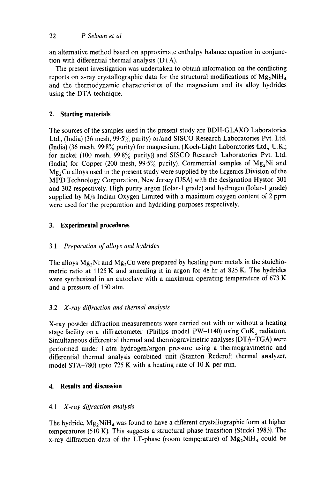an alternative method based on approximate enthalpy balance equation in conjunction with differential thermal analysis (DTA).

The present investigation was undertaken to obtain information on the conflicting reports on x-ray crystallographic data for the structural modifications of  $Mg_2NiH_4$ and the thermodynamic characteristics of the magnesium and its alloy hydrides using the DTA technique.

# **2. Starting materials**

The sources of the samples used in the present study are BDH-GLAXO Laboratories Ltd., (India) (36 mesh, 99.5% purity) or/and SISCO Research Laboratories Pvt. Ltd. (India) (36 mesh,  $99.8\%$  purity) for magnesium, (Koch-Light Laboratories Ltd., U.K.; for nickel (100 mesh,  $99.8\%$  purity)) and SISCO Research Laboratories Pvt. Ltd. (India) for Copper (200 mesh, 99.5% purity). Commercial samples of  $Mg_2Ni$  and  $Mg_2Cu$  alloys used in the present study were supplied by the Ergenics Division of the MPD Technology Corporation, New Jersey (USA) with the designation Hystor-301 and 302 respectively. High purity argon (Iolar-1 grade) and hydrogen (Iolar-1 grade) supplied by  $M/s$  Indian Oxygen Limited with a maximum oxygen content of 2 ppm were used for'the preparation and hydriding purposes respectively.

## **3. Experimental procedures**

# 3.1 *Preparation of alloys and hydrides*

The alloys  $Mg_2Ni$  and  $Mg_2Cu$  were prepared by heating pure metals in the stoichiometric ratio at 1125 K and annealing it in argon for 48 hr at 825 K. The hydrides were synthesized in an autoclave with a maximum operating temperature of 673 K and a pressure of 150 atm.

### 3.2 *X-ray diffraction and thermal analysis*

X-ray powder diffraction measurements were carried out with or without a heating stage facility on a diffractometer (Philips model PW-1140) using  $CuK_{\alpha}$  radiation. Simultaneous differential thermal and thermogravimetric analyses (DTA-TGA) were performed under 1 atm hydrogen/argon pressure using a thermogravimetric and differential thermal analysis combined unit (Stanton Redcroft thermal analyzer, model STA-780) upto 725 K with a heating rate of 10 K per min.

### **4. Results and discussion**

### *4.1 X-ray diffraction analysis*

The hydride,  $Mg_2NiH_4$  was found to have a different crystallographic form at higher temperatures (510 K). This suggests a structural phase transition (Stucki 1983). The x-ray diffraction data of the LT-phase (room temperature) of  $Mg_2NiH_4$  could be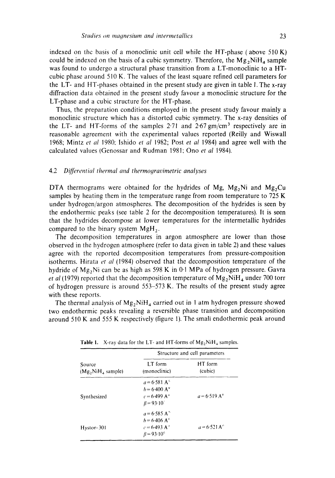indexed on the basis of a monoclinic unit cell while the HT-phase (above  $510 K$ ) could be indexed on the basis of a cubic symmetry. Therefore, the  $Mg<sub>2</sub>NiH<sub>4</sub>$  sample was found to undergo a structural phase transition from a LT-monoclinic to a HTcubic phase around 510 K. The values of the least square refined cell parameters for the LT- and HT-phases obtained in the present study are given in table I. The x-ray diffraction data obtained in the present study favour a monoclinic structure for the LT-phase and a cubic structure for the HT-phase.

Thus, the preparation conditions employed in the present study favour mainly a monoclinic structure which has a distorted cubic symmetry. The x-ray densities of the LT- and HT-forms of the samples  $2.71$  and  $2.67$  gm/cm<sup>3</sup> respectively are in reasonable agreement with the experimental values reported (Reilly and Wiswall 1968; Mintz *et al* 1980: Ishido *et al* 1982; Post *et al* 1984) and agree well with the calculated values (Genossar and Rudman 1981: Ono *et al* 1984).

#### 4.2 *Differential thermal and thermogravimetric analyses*

DTA thermograms were obtained for the hydrides of Mg, Mg<sub>2</sub>Ni and Mg<sub>2</sub>Cu samples by heating them in the temperature range from room temperature to 725 K under hydrogen/argon atmospheres. The decomposition of the hydrides is seen by the endothermic peaks (see table 2 for the decomposition temperatures). It is seen that the hydrides decompose at lower temperatures for the intermetallic hydrides compared to the binary system  $MgH<sub>2</sub>$ .

The decomposition temperatures in argon atmosphere are lower than those observed in the hydrogen atmosphere (refer to data given in table 2) and these values agree with the reported decomposition temperatures from pressure-composition isotherms. Hirata *et al* (1984) observed that the decomposition temperature of the hydride of Mg<sub>2</sub>Ni can be as high as 598 K in 0.1 MPa of hydrogen pressure. Gavra *et al* (1979) reported that the decomposition temperature of  $Mg_2NiH_4$  under 700 torr of hydrogen pressure is around 553-573 K. The results of the present study agree with these reports.

The thermal analysis of  $Mg_2NiH_4$  carried out in 1 atm hydrogen pressure showed two endothermic peaks revealing a reversible phase transition and decomposition around 510 K and 555 K respectively (figure 1). The smali endothermic peak around

|                              | Structure and cell parameters |                       |
|------------------------------|-------------------------------|-----------------------|
| Source<br>$(Mg,NiH4$ sample) | LT form<br>(monoclinic)       | HT form<br>(cubic)    |
|                              | $a = 6.581 A^{\circ}$         |                       |
|                              | $b = 6.400 A^{\circ}$         |                       |
| Synthesized                  | $c = 6.499 A^{\circ}$         | $a = 6.519 A^{\circ}$ |
|                              | $\beta = 93.10$               |                       |
|                              | $a = 6.585 A^{\circ}$         |                       |
|                              | $h = 6.406 \text{ A}^{\circ}$ |                       |
| Hystor-301                   | $c = 6.493 A^{\circ}$         | $a = 6.521 A^{\circ}$ |
|                              | $\beta$ = 93.10°              |                       |

Table 1. X-ray data for the LT- and HT-forms of  $Mg_2NiH_4$  samples.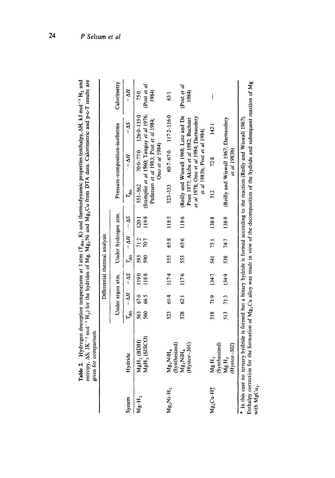|               | (enthalpy, AH, kJ mol <sup>-1</sup> H <sub>2</sub> and<br><b>Properties</b><br>ות הודונתו<br>dillion.<br>$(T_{\text{des}}, K)$ and thermod<br>$\frac{1}{2}$<br>atures at 1 atm /<br>$H_{Vdrof}$ |
|---------------|-------------------------------------------------------------------------------------------------------------------------------------------------------------------------------------------------|
| <b>Cinnic</b> | the most recover<br>l<br>$\gamma$ py, AS, JK <sup>-1</sup> mol <sup>-1</sup> H <sub>2</sub> ) for the hydrides of Mg, Mg <sub>2</sub> Mi and Mg <sub>2</sub> Cu from DTA data. Calon.           |
| given for co. |                                                                                                                                                                                                 |

|                |                                                                                                                                                        |            |                  | Differential thermal analysis |            |                             |                     |                  |                                                                                                                 |                                                                   |                             |
|----------------|--------------------------------------------------------------------------------------------------------------------------------------------------------|------------|------------------|-------------------------------|------------|-----------------------------|---------------------|------------------|-----------------------------------------------------------------------------------------------------------------|-------------------------------------------------------------------|-----------------------------|
|                |                                                                                                                                                        |            | Under argon atm. |                               |            |                             | Under hydrogen atm. |                  | Pressure-composition-isotherms                                                                                  |                                                                   | Calorimetry                 |
| System         | Hydride                                                                                                                                                | $I_{des}$  | $-M - \Delta S$  |                               |            | $I_{\text{des}} - \Delta H$ | $-\Delta S$         | <sup>1</sup> des | $- \Delta H$                                                                                                    | $-\Delta S$                                                       | $-\Delta H$                 |
| $Mg-H_2$       | MgH <sub>2</sub> (SISCO)<br>MgH, (BDH)                                                                                                                 | 563<br>560 | 670<br>66.5      | 1190<br>1188                  | 593<br>590 | 70.7<br>71.2                | 119.8<br>1201       | $551 - 562$      | Pedersen et al 1983; Post et al 1984;<br>Ono et al 1984)                                                        | (Stampfer et al 1960; Tanguy et al 1976;<br>$70-77-0$ $126-135-0$ | (Post et al<br>1984)<br>750 |
| $Mg_2Ni-H_2$   | (Synthesized)<br>$Mg_2NiH_4$                                                                                                                           | 523        | 61.4             | 1174                          | 555        | 658                         | 118.5               | 523-533          |                                                                                                                 | $60.7 - 67.0$ 117.2-1160                                          | 63.1                        |
|                | $(Hystor-301)$<br>$Mg_2NiH_4$                                                                                                                          | 528        | 62.1             | 1176                          | 553        | 656                         | 118.6               |                  | et al 1978; Ono et al 1984; Darnaudery<br>Pous 1977; Akiba et al 1982; Buchner<br>et al 1983b; Post et al 1984) | (Reilly and Wiswall 1968; Lutz and De                             | (Post et al<br>1984)        |
| $Mg_2Cu-H_2^*$ | (Synthesized)<br>Mg $H_2$                                                                                                                              | 518        | 71.9             | 134.7                         | 541 75-1   |                             | 138.8               | 512              | 72.8                                                                                                            | 142.1                                                             | $\vert$                     |
|                | $(Hystor-302)$<br>$M_g H_2$                                                                                                                            | 513        | 71.3             | 134.9                         | 538        | 74.7                        | 138.9               |                  | (Reilly and Wiswall 1967; Darnaudery<br><i>et al</i> 1983b)                                                     |                                                                   |                             |
| $\frac{1}{2}$  | * In this case no ternary hydride is formed but a binary hydride is formed according to the reaction (Reilly and Wiswall 1967).<br>きょうしょう こうしゅう しゅうしょう |            |                  |                               |            |                             |                     |                  |                                                                                                                 |                                                                   |                             |

Enthalpy correction for the formation of Mg<sub>2</sub>Cu alloy was made in view of the decomposition of the hydride and subsequent reaction of Mg<br>with MgCu<sub>2</sub>. inthalpy correction for the formation of  $Mg_2$ Cu alloy was made in view of the decomposition of the hydride and subsequent reaction of  $Mg$ with  $MgCu<sub>2</sub>$ .

 $24$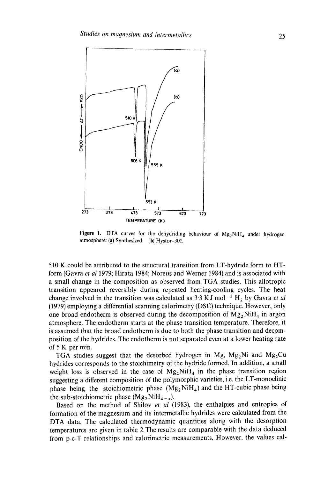

Figure 1. DTA curves for the dehydriding behaviour of  $Mg_2NiH_4$  under hydrogen atmosphere: (a) Synthesized. (b) Hystor-301.

510 K could be attributed to the structural transition from LT-hydride form to HTform (Gavra *et al* 1979; Hirata 1984; Noreus and Werner 1984) and is associated with a small change in the composition as observed from TGA studies. This allotropic transition appeared reversibly during repeated heating-cooling cycles. The heat change involved in the transition was calculated as  $3.3$  KJ mol<sup>-1</sup> H<sub>2</sub> by Gavra *et al* (1979) employing a differential scanning calorimetry (DSC) technique. However, only one broad endotherm is observed during the decomposition of  $Mg_2NiH_4$  in argon atmosphere. The endotherm starts at the phase transition temperature. Therefore, it is assumed that the broad endotherm is due to both the phase transition and decomposition of the hydrides. The endotherm is not separated even at a lower heating rate of 5 K per min.

TGA studies suggest that the desorbed hydrogen in Mg,  $Mg_2Ni$  and  $Mg_2Cu$ hydrides corresponds to the stoichimetry of the hydride formed. In addition, a small weight loss is observed in the case of  $Mg_2NiH_4$  in the phase transition region suggesting a different composition of the polymorphic varieties, i.e. the LT-monoclinic phase being the stoichiometric phase  $(Mg_2NiH_4)$  and the HT-cubic phase being the sub-stoichiometric phase  $(Mg_2NiH_{4-x}).$ 

Based on the method of Shilov *et al* (1983), the enthalpies and entropies of formation of the magnesium and its intermetallic hydrides were calculated from the DTA data. The calculated thermodynamic quantities along with the desorption temperatures are given in table 2. The results are comparable with the data deduced from p-c-T relationships and calorimetric measurements. However, the values cal-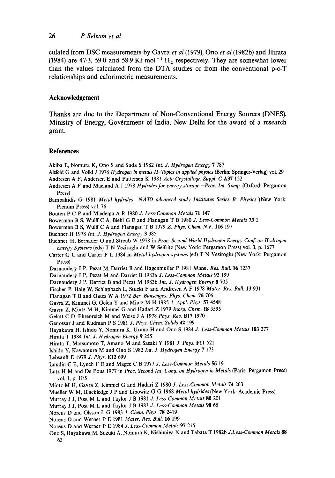#### 26 *P Selvam et al*

culated from DSC measurements by Gavra *et al* (1979), Ono *et al* (1982b) and Hirata (1984) are 47.3, 59.0 and 58.9 KJ mol<sup>-1</sup> H<sub>2</sub> respectively. They are somewhat lower than the values calculated from the DTA studies or from the conventional p-c-T relationships and calorimetric measurements.

#### **Acknowledgement**

Thanks are due to the Department of Non-Conventional Energy Sources (DNES), Ministry of Energy, Government of India, New Delhi for the award of a research grant.

#### **References**

- Akiba E, Nomura K, Ono S and Suda S 1982 *Int. J. Hydrogen Energy* 7 787
- Alefeld G and Volkl J 1978 *Hydrogen in metals ll-Topics in applied physics* (Berlin: Springer-Verlag) vol. 29 Andresen A F, Andersen E and Pattersen K 1981 *Acta Crystallogr. Suppl. C* A37 152
- Andresen A F and Maeland A J 1978 *Hydrides for energy storage--Proc. Int. Syrup.* (Oxford: Pergamon Press)
- Bambakidis G 1981 Metal hydrides-NATO advanced study Institutes Series B: Physics (New York: Plenum Press) vol. 76
- Bouten P C P and Miederoa A R 1980 *J. Less-Common Metals* 71 147
- Bowerman B S, Wulff C A, Biehl G E and Flanagan T B 1980 *J. Less-Common Metals* 73 1
- Bowerman B S, Wulff C A and Flanagan T B 1979 *Z. Phys. Chem. N.F.* 116 197
- Buchner H 1978 *Int. J. Hydrogen Energy* 3 385
- Buchner H, Bernauer O and Streub W 1978 in Proc. Second World Hydrogen Energy Conf. on Hydrogen *Energy Systems* (eds) T N Veziroglu and W Seifritz (New York: Pergamon Press) vol. 3, p. 1677
- Carter G C and Carter F L 1984 in *Metal hydrogen systems* (ed) T N Veziroglu (New York: Pergamon Press)
- Darnaudery J P, Pezat M, Darriet B and Hagenmuller P 1981 *Mater. Res. Bull.* 16 1237
- Darnaudery J P, Pezat M and Darriet B 1983a *J. Less-Common Metals* 92 199
- Darnaudery J P, Darriet B and Pezat M 1983b *Int. J. Hydrogen Energy* 8 705
- Fischer P, Halg W, Schlapbach L, Stucki F and Andresen A F 1978 *Mater. Res. Bull.* 13 931
- Flanagan T B and Oates W A 1972 *Ber. Bunsenges. Phys. Chem.* 76 706
- Gavra Z, Kimmel G, Gefeu Y and Mintz M H 1985 *J. Appl. Phys.* 57 4548
- Gavra Z, Mintz M H, Kimmel G and Hadari Z 1979 *Inorg. Chem.* lg 3595
- Gelatt C D, Ehrenreieh M and Weise J A 1978 *Phys. Rev.* BI7 1970
- Genossar J and Rudman P S 1981 *J. Phys. Chem. Solids* 42 199
- Hayakawa H, Ishido Y, Nomura K, Uruno H and Ono S 1984 *J. Less-Common Metals* 103 277
- Hirata T 1984 *Int. J. Hydrogen Energy* 9 255
- Hirata T, Matsumoto T, Amano M and Sasaki Y 1981 *J. Phys.* FI1 521
- Ishido Y, Kawamura M and Ono S 1982 *Int. J. Hydrogen Energy* 7 173
- Lebsanft E 1979 *J. Phys.* El2 699
- Lundin C E, Lynch F E and Magee C B 1977 *J. Less-Common Metals* 56 I9
- Lutz H M and De Pous 1977 in *Proc. Second Int. Cong. on Hydrogen in Metals* (Paris: Pergamon Press) vol. 1, p. 1F5
- Mintz M H, Gavra Z, Kimmel G and Hadari Z 1980 *J. Less-Common Metals* 74 263
- Mueller W M, Blackledge J P and Libowitz G G 1968 *Metal hydrides* (New York: Academic Press)
- Murray J J, Post M L and Taylor J B 1981 *J. Less-Common Metals* 80 201
- Murray J J, Post M L and Taylor J B 1983 *J. Less-Common Metals 90* 65
- Noreus D and Olsson L G 1987 *J. Chem. Phys.* 78 2419
- Noreus D and Werner P E 1981 Mater. Res. Bull. 16 199
- Noreus D and Werner P E 1984 *J. Less-Common Metals* 97 215
- Ono S, Hayakawa M, Suzuki A, Nomura K, Nishimiya N and Tabata T 1982b *J.Less-Common Metals 88*  63